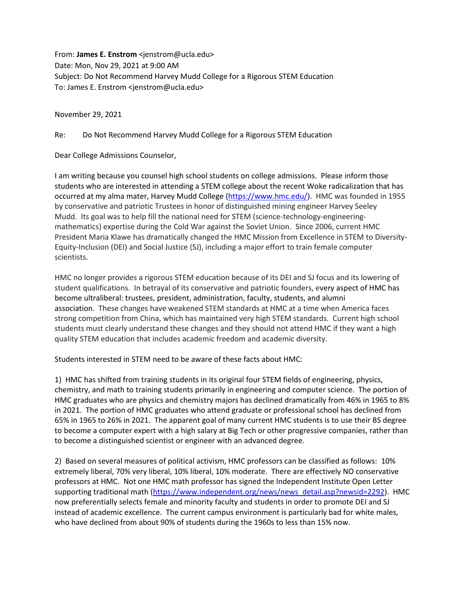From: **James E. Enstrom** <jenstrom@ucla.edu> Date: Mon, Nov 29, 2021 at 9:00 AM Subject: Do Not Recommend Harvey Mudd College for a Rigorous STEM Education To: James E. Enstrom <jenstrom@ucla.edu>

November 29, 2021

Re: Do Not Recommend Harvey Mudd College for a Rigorous STEM Education

Dear College Admissions Counselor,

I am writing because you counsel high school students on college admissions. Please inform those students who are interested in attending a STEM college about the recent Woke radicalization that has occurred at my alma mater, Harvey Mudd College [\(https://www.hmc.edu/\)](https://www.hmc.edu/). HMC was founded in 1955 by conservative and patriotic Trustees in honor of distinguished mining engineer Harvey Seeley Mudd. Its goal was to help fill the national need for STEM (science-technology-engineeringmathematics) expertise during the Cold War against the Soviet Union. Since 2006, current HMC President Maria Klawe has dramatically changed the HMC Mission from Excellence in STEM to Diversity-Equity-Inclusion (DEI) and Social Justice (SJ), including a major effort to train female computer scientists.

HMC no longer provides a rigorous STEM education because of its DEI and SJ focus and its lowering of student qualifications. In betrayal of its conservative and patriotic founders, every aspect of HMC has become ultraliberal: trustees, president, administration, faculty, students, and alumni association. These changes have weakened STEM standards at HMC at a time when America faces strong competition from China, which has maintained very high STEM standards. Current high school students must clearly understand these changes and they should not attend HMC if they want a high quality STEM education that includes academic freedom and academic diversity.

Students interested in STEM need to be aware of these facts about HMC:

1) HMC has shifted from training students in its original four STEM fields of engineering, physics, chemistry, and math to training students primarily in engineering and computer science. The portion of HMC graduates who are physics and chemistry majors has declined dramatically from 46% in 1965 to 8% in 2021. The portion of HMC graduates who attend graduate or professional school has declined from 65% in 1965 to 26% in 2021. The apparent goal of many current HMC students is to use their BS degree to become a computer expert with a high salary at Big Tech or other progressive companies, rather than to become a distinguished scientist or engineer with an advanced degree.

2) Based on several measures of political activism, HMC professors can be classified as follows: 10% extremely liberal, 70% very liberal, 10% liberal, 10% moderate. There are effectively NO conservative professors at HMC. Not one HMC math professor has signed the Independent Institute Open Letter supporting traditional math [\(https://www.independent.org/news/news\\_detail.asp?newsid=2292\)](https://www.independent.org/news/news_detail.asp?newsid=2292). HMC now preferentially selects female and minority faculty and students in order to promote DEI and SJ instead of academic excellence. The current campus environment is particularly bad for white males, who have declined from about 90% of students during the 1960s to less than 15% now.